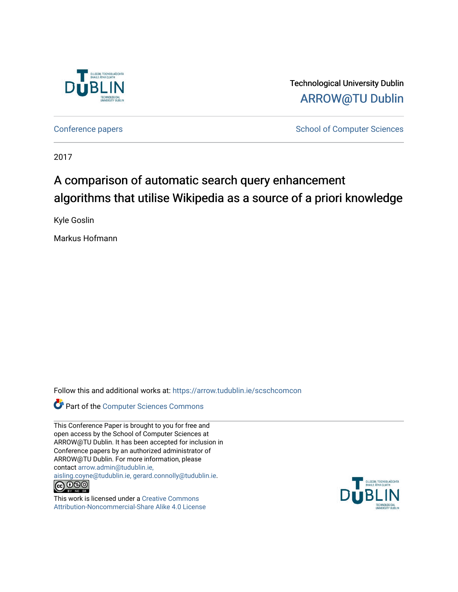

Technological University Dublin [ARROW@TU Dublin](https://arrow.tudublin.ie/) 

[Conference papers](https://arrow.tudublin.ie/scschcomcon) **School of Computer Sciences** School of Computer Sciences

2017

# A comparison of automatic search query enhancement algorithms that utilise Wikipedia as a source of a priori knowledge

Kyle Goslin

Markus Hofmann

Follow this and additional works at: [https://arrow.tudublin.ie/scschcomcon](https://arrow.tudublin.ie/scschcomcon?utm_source=arrow.tudublin.ie%2Fscschcomcon%2F377&utm_medium=PDF&utm_campaign=PDFCoverPages)

Part of the [Computer Sciences Commons](http://network.bepress.com/hgg/discipline/142?utm_source=arrow.tudublin.ie%2Fscschcomcon%2F377&utm_medium=PDF&utm_campaign=PDFCoverPages)

This Conference Paper is brought to you for free and open access by the School of Computer Sciences at ARROW@TU Dublin. It has been accepted for inclusion in Conference papers by an authorized administrator of ARROW@TU Dublin. For more information, please contact [arrow.admin@tudublin.ie,](mailto:arrow.admin@tudublin.ie,%20aisling.coyne@tudublin.ie,%20gerard.connolly@tudublin.ie)  [aisling.coyne@tudublin.ie, gerard.connolly@tudublin.ie](mailto:arrow.admin@tudublin.ie,%20aisling.coyne@tudublin.ie,%20gerard.connolly@tudublin.ie).  $\bigodot$   $\bigodot$   $\bigodot$ 

This work is licensed under a [Creative Commons](http://creativecommons.org/licenses/by-nc-sa/4.0/) [Attribution-Noncommercial-Share Alike 4.0 License](http://creativecommons.org/licenses/by-nc-sa/4.0/)

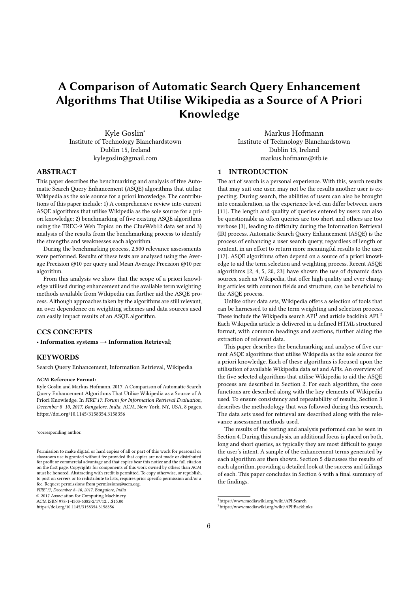## A Comparison of Automatic Search Query Enhancement Algorithms That Utilise Wikipedia as a Source of A Priori Knowledge

Kyle Goslin<sup>∗</sup> Institute of Technology Blanchardstown Dublin 15, Ireland kylegoslin@gmail.com

Markus Hofmann Institute of Technology Blanchardstown Dublin 15, Ireland markus.hofmann@itb.ie

## ABSTRACT

This paper describes the benchmarking and analysis of five Automatic Search Query Enhancement (ASQE) algorithms that utilise Wikipedia as the sole source for a priori knowledge. The contributions of this paper include: 1) A comprehensive review into current ASQE algorithms that utilise Wikipedia as the sole source for a priori knowledge; 2) benchmarking of five existing ASQE algorithms using the TREC-9 Web Topics on the ClueWeb12 data set and 3) analysis of the results from the benchmarking process to identify the strengths and weaknesses each algorithm.

During the benchmarking process, 2,500 relevance assessments were performed. Results of these tests are analysed using the Average Precision @10 per query and Mean Average Precision @10 per algorithm.

From this analysis we show that the scope of a priori knowledge utilised during enhancement and the available term weighting methods available from Wikipedia can further aid the ASQE process. Although approaches taken by the algorithms are still relevant, an over dependence on weighting schemes and data sources used can easily impact results of an ASQE algorithm.

## CCS CONCEPTS

• Information systems → Information Retrieval;

## KEYWORDS

Search Query Enhancement, Information Retrieval, Wikipedia

#### ACM Reference Format:

Kyle Goslin and Markus Hofmann. 2017. A Comparison of Automatic Search Query Enhancement Algorithms That Utilise Wikipedia as a Source of A Priori Knowledge. In FIRE'17: Forum for Information Retrieval Evaluation, December 8–10, 2017, Bangalore, India. ACM, New York, NY, USA, 8 pages. https://doi.org/10.1145/3158354.3158356

∗ corresponding author.

FIRE'17, December 8–10, 2017, Bangalore, India

## 1 INTRODUCTION

The art of search is a personal experience. With this, search results that may suit one user, may not be the results another user is expecting. During search, the abilities of users can also be brought into consideration, as the experience level can differ between users [11]. The length and quality of queries entered by users can also be questionable as often queries are too short and others are too verbose [3], leading to difficulty during the Information Retrieval (IR) process. Automatic Search Query Enhancement (ASQE) is the process of enhancing a user search query, regardless of length or content, in an effort to return more meaningful results to the user [17]. ASQE algorithms often depend on a source of a priori knowledge to aid the term selection and weighting process. Recent ASQE algorithms [2, 4, 5, 20, 23] have shown the use of dynamic data sources, such as Wikipedia, that offer high quality and ever changing articles with common fields and structure, can be beneficial to the ASQE process.

Unlike other data sets, Wikipedia offers a selection of tools that can be harnessed to aid the term weighting and selection process. These include the Wikipedia search  $API<sup>1</sup>$  and article backlink  $API<sup>2</sup>$ Each Wikipedia article is delivered in a defined HTML structured format, with common headings and sections, further aiding the extraction of relevant data.

This paper describes the benchmarking and analyse of five current ASQE algorithms that utilise Wikipedia as the sole source for a priori knowledge. Each of these algorithms is focused upon the utilisation of available Wikipedia data set and APIs. An overview of the five selected algorithms that utilise Wikipedia to aid the ASQE process are described in Section 2. For each algorithm, the core functions are described along with the key elements of Wikipedia used. To ensure consistency and repeatability of results, Section 3 describes the methodology that was followed during this research. The data sets used for retrieval are described along with the relevance assessment methods used.

The results of the testing and analysis performed can be seen in Section 4. During this analysis, an additional focus is placed on both, long and short queries, as typically they are most difficult to gauge the user's intent. A sample of the enhancement terms generated by each algorithm are then shown. Section 5 discusses the results of each algorithm, providing a detailed look at the success and failings of each. This paper concludes in Section 6 with a final summary of the findings.

Permission to make digital or hard copies of all or part of this work for personal or classroom use is granted without fee provided that copies are not made or distributed for profit or commercial advantage and that copies bear this notice and the full citation on the first page. Copyrights for components of this work owned by others than ACM must be honored. Abstracting with credit is permitted. To copy otherwise, or republish, to post on servers or to redistribute to lists, requires prior specific permission and/or a fee. Request permissions from permissions@acm.org.

<sup>©</sup> 2017 Association for Computing Machinery. ACM ISBN 978-1-4503-6382-2/17/12. . . \$15.00

https://doi.org/10.1145/3158354.3158356

<sup>1</sup>https://www.mediawiki.org/wiki/API:Search

<sup>2</sup>https://www.mediawiki.org/wiki/API:Backlinks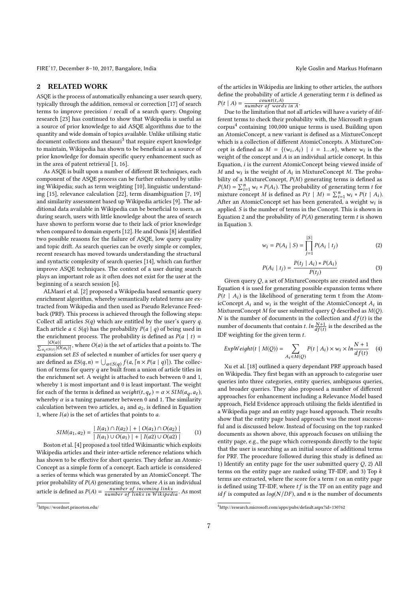## 2 RELATED WORK

ASQE is the process of automatically enhancing a user search query, typically through the addition, removal or correction [17] of search terms to improve precision / recall of a search query. Ongoing research [23] has continued to show that Wikipedia is useful as a source of prior knowledge to aid ASQE algorithms due to the quantity and wide domain of topics available. Unlike utilising static document collections and thesauri<sup>3</sup> that require expert knowledge to maintain, Wikipedia has shown to be beneficial as a source of prior knowledge for domain specific query enhancement such as in the area of patent retrieval [1, 16].

As ASQE is built upon a number of different IR techniques, each component of the ASQE process can be further enhanced by utilising Wikipedia; such as term weighting [10], linguistic understanding [15], relevance calculation [22], term disambiguation [7, 19] and similarity assessment based up Wikipedia articles [9]. The additional data available in Wikipedia can be beneficial to users, as during search, users with little knowledge about the area of search have shown to perform worse due to their lack of prior knowledge when compared to domain experts [12]. He and Ounis [8] identified two possible reasons for the failure of ASQE, low query quality and topic drift. As search queries can be overly simple or complex, recent research has moved towards understanding the structural and syntactic complexity of search queries [14], which can further improve ASQE techniques. The context of a user during search plays an important role as it often does not exist for the user at the beginning of a search session [6].

ALMasri et al. [2] proposed a Wikipedia based semantic query enrichment algorithm, whereby semantically related terms are extracted from Wikipedia and then used as Pseudo Relevance Feedback (PRF). This process is achieved through the following steps: Collect all articles  $S(q)$  which are entitled by the user's query q. Each article  $a \in S(q)$  has the probability  $P(a | q)$  of being used in the enrichment process. The probability is defined as  $P(a | t)$  =  $\frac{|O(a)|}{\sum_{a_i \in S(t)} |O(a_i)|}$ , where  $O(a)$  is the set of articles that a points to. The expansion set  $ES$  of selected  $n$  number of articles for user query  $q$ are defined as  $ES(q, n) = \bigcup_{a \in S(q)} f(a, \lceil n \times P(a \mid q) \rceil)$ . The collection of terms for query  $q$  are built from a union of article titles in the enrichment set. A weight is attached to each between 0 and 1, whereby 1 is most important and 0 is least important. The weight for each of the terms is defined as weight(t,  $q_e$ ) =  $\alpha \times SIM(a_q, a_t)$ , whereby  $\alpha$  is a tuning parameter between 0 and 1. The similarity calculation between two articles,  $a_1$  and  $a_2$ , is defined in Equation 1, where  $I(a)$  is the set of articles that points to a.

$$
SIM(a_1, a_2) = \frac{|I(a_1) \cap I(a_2)| + |O(a_1) \cap O(a_2)|}{|I(a_1) \cup O(a_1)| + |I(a_2) \cup O(a_2)|}
$$
(1)

Boston et al. [4] proposed a tool titled Wikimantic which exploits Wikipedia articles and their inter-article reference relations which has shown to be effective for short queries. They define an Atomic-Concept as a simple form of a concept. Each article is considered a series of terms which was generated by an AtomicConcept. The prior probability of  $P(A)$  generating terms, where  $A$  is an individual article is defined as  $P(A) = \frac{number\ of\ incoming\ links}{number\ of\ links\ in\ Wikipedia}$ . As most

of the articles in Wikipedia are linking to other articles, the authors define the probability of article  $A$  generating term  $t$  is defined as  $P(t | A) = \frac{count(t, A)}{number of words in A}.$ 

Due to the limitation that not all articles will have a variety of different terms to check their probability with, the Microsoft n-gram corpus<sup>4</sup> containing 100,000 unique terms is used. Building upon an AtomicConcept, a new variant is defined as a MixtureConcept which is a collection of different AtomicConcepts. A MixtureConcept is defined as  $M = \{ (w_i, A_i) \mid i = 1...n \}$ , where  $w_i$  is the weight of the concept and A is an individual article concept. In this Equation, i is the current AtomicConcept being viewed inside of  $M$  and  $w_i$  is the weight of  $A_i$  in MixtureConcept  $M$ . The probability of a MixtureConcept,  $P(M)$  generating terms is defined as  $P(M) = \sum_{i=1}^{n} w_i * P(A_i)$ . The probability of generating term t for mixture concept M is defined as  $P(t | M) = \sum_{i=1}^{n} w_i * P(t | A_i)$ . After an AtomicConcept set has been generated, a weight  $w_i$  is applied. S is the number of terms in the Concept. This is shown in Equation 2 and the probability of  $P(A)$  generating term t is shown in Equation 3.

$$
w_i = P(A_i | S) = \prod_{j=1}^{|S|} P(A_i | t_j)
$$
 (2)

$$
P(A_i | t_j) = \frac{P(t_j | A_i) * P(A_i)}{P(t_j)}
$$
(3)

Given query Q, a set of MixtureConcepts are created and then Equation 4 is used for generating possible expansion terms where  $P(t | A_i)$  is the likelihood of generating term t from the AtomicConcept  $A_i$  and  $w_i$  is the weight of the AtomicConcept  $A_i$  in MixturenConcept  $M$  for user submitted query  $Q$  described as  $M(Q)$ . N is the number of documents in the collection and  $df(t)$  is the number of documents that contain t.  $ln \frac{N+1}{df(t)}$  is the described as the IDF weighting for the given term  $t$ .

$$
ExpWeight(t \mid M(Q)) = \sum_{A_i \in M(Q)} P(t \mid A_i) \times w_i \times \ln \frac{N+1}{df(t)} \quad (4)
$$

Xu et al. [18] outlined a query dependant PRF approach based on Wikipedia. They first began with an approach to categorise user queries into three categories, entity queries, ambiguous queries, and broader queries. They also proposed a number of different approaches for enhancement including a Relevance Model based approach, Field Evidence approach utilising the fields identified in a Wikipedia page and an entity page based approach. Their results show that the entity page based approach was the most successful and is discussed below. Instead of focusing on the top ranked documents as shown above, this approach focuses on utilising the entity page, e.g., the page which corresponds directly to the topic that the user is searching as an initial source of additional terms for PRF. The procedure followed during this study is defined as: 1) Identify an entity page for the user submitted query  $Q$ , 2) All terms on the entity page are ranked using  $TF-IDF$ , and 3) Top  $k$ terms are extracted, where the score for a term  $t$  on an entity page is defined using TF-IDF, where  $tf$  is the TF on an entity page and id f is computed as  $log(N/DF)$ , and n is the number of documents

<sup>3</sup>https://wordnet.princeton.edu/

<sup>4</sup>http://research.microsoft.com/apps/pubs/default.aspx?id=130762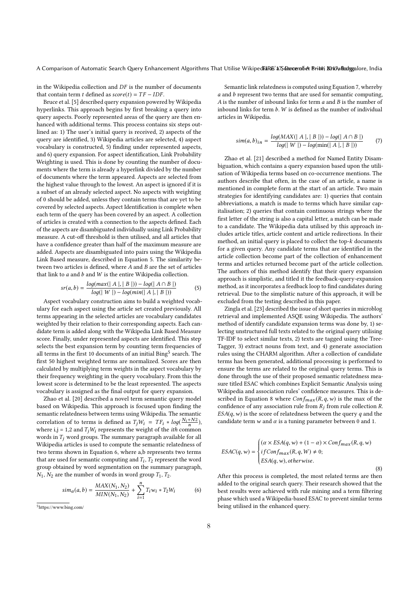A Comparison of Automatic Search Query Enhancement Algorithms That Utilise Wikipedlia Ras a Ta Davernber Bridoj Knowledgealore, India

in the Wikipedia collection and DF is the number of documents that contain term t defined as  $score(t) = TF - IDF$ .

Bruce et al. [5] described query expansion powered by Wikipedia hyperlinks. This approach begins by first breaking a query into query aspects. Poorly represented areas of the query are then enhanced with additional terms. This process contains six steps outlined as: 1) The user's initial query is received, 2) aspects of the query are identified, 3) Wikipedia articles are selected, 4) aspect vocabulary is constructed, 5) finding under represented aspects, and 6) query expansion. For aspect identification, Link Probability Weighting is used. This is done by counting the number of documents where the term is already a hyperlink divided by the number of documents where the term appeared. Aspects are selected from the highest value through to the lowest. An aspect is ignored if it is a subset of an already selected aspect. No aspects with weighting of 0 should be added, unless they contain terms that are yet to be covered by selected aspects. Aspect Identification is complete when each term of the query has been covered by an aspect. A collection of articles is created with a connection to the aspects defined. Each of the aspects are disambiguated individually using Link Probability measure. A cut-off threshold is then utilised, and all articles that have a confidence greater than half of the maximum measure are added. Aspects are disambiguated into pairs using the Wikipedia Link Based measure, described in Equation 5. The similarity between two articles is defined, where  $\overline{A}$  and  $\overline{B}$  are the set of articles that link to  $a$  and  $b$  and  $W$  is the entire Wikipedia collection.

$$
sr(a, b) = \frac{log(max(|A|, |B|)) - log(|A \cap B|)}{log(|W|) - log(min(|A|, |B|))}
$$
(5)

Aspect vocabulary construction aims to build a weighted vocabulary for each aspect using the article set created previously. All terms appearing in the selected articles are vocabulary candidates weighted by their relation to their corresponding aspects. Each candidate term is added along with the Wikipedia Link Based Measure score. Finally, under represented aspects are identified. This step selects the best expansion term by counting term frequencies of all terms in the first 10 documents of an initial Bing<sup>5</sup> search. The first 50 highest weighted terms are normalized. Scores are then calculated by multiplying term weights in the aspect vocabulary by their frequency weighting in the query vocabulary. From this the lowest score is determined to be the least represented. The aspects vocabulary is assigned as the final output for query expansion.

Zhao et al. [20] described a novel term semantic query model based on Wikipedia. This approach is focused upon finding the semantic relatedness between terms using Wikipedia. The semantic correlation of to terms is defined as  $T_j W_i = TF_i * log(\frac{N_1 + N_2}{n})$ , where i,j = 1,2 and  $T_iW_i$  represents the weight of the *ith* common words in  $T_j$  word groups. The summary paragraph available for all Wikipedia articles is used to compute the semantic relatedness of two terms shown in Equation 6, where a,b represents two terms that are used for semantic computing and  $T_i$ ,  $T_2$  represent the word group obtained by word segmentation on the summary paragraph,  $N_1$ ,  $N_2$  are the number of words in word group  $T_1$ ,  $T_2$ .

$$
sim_a(a, b) = \frac{MAX(N_1, N_2)}{MIN(N_1, N_2)} + \sum_{i=1}^{n} T_i w_i * T_2 W_i
$$
 (6)

Semantic link relatedness is computed using Equation 7, whereby a and b represent two terms that are used for semantic computing, A is the number of inbound links for term  $a$  and  $B$  is the number of inbound links for term  $b$ .  $W$  is defined as the number of individual articles in Wikipedia.

$$
sim(a, b)_{in} = \frac{log(MAX(|A|, |B|)) - log(|A \cap B|)}{log(|W|) - log(min(|A|, |B|))}
$$
(7)

Zhao et al. [21] described a method for Named Entity Disambiguation, which contains a query expansion based upon the utilisation of Wikipedia terms based on co-occurrence mentions. The authors describe that often, in the case of an article, a name is mentioned in complete form at the start of an article. Two main strategies for identifying candidates are: 1) queries that contain abbreviations, a match is made to terms which have similar capitalisation; 2) queries that contain continuous strings where the first letter of the string is also a capital letter, a match can be made to a candidate. The Wikipedia data utilised by this approach includes article titles, article content and article redirections. In their method, an initial query is placed to collect the top- $k$  documents for a given query. Any candidate terms that are identified in the article collection become part of the collection of enhancement terms and articles returned become part of the article collection. The authors of this method identify that their query expansion approach is simplistic, and titled it the feedback-query-expansion method, as it incorporates a feedback loop to find candidates during retrieval. Due to the simplistic nature of this approach, it will be excluded from the testing described in this paper.

Zingla et al. [23] described the issue of short queries in microblog retrieval and implemented ASQE using Wikipedia. The authors' method of identify candidate expansion terms was done by, 1) selecting unstructured full texts related to the original query utilising TF-IDF to select similar texts, 2) texts are tagged using the Tree-Tagger, 3) extract nouns from text, and 4) generate association rules using the CHARM algorithm. After a collection of candidate terms has been generated, additional processing is performed to ensure the terms are related to the original query terms. This is done through the use of their proposed semantic relatedness measure titled ESAC which combines Explicit Semantic Analysis using Wikipedia and association rules' confidence measures. This is described in Equation 8 where  $Conf_{max}(R,q,w)$  is the max of the confidence of any association rule from  $R_i$  from rule collection  $R$ .  $ESA(q, w)$  is the score of relatedness between the query q and the candidate term  $w$  and  $\alpha$  is a tuning parameter between 0 and 1.

$$
ESAC(q, w) = \begin{cases} (\alpha \times ESA(q, w) + (1 - \alpha) \times Conf_{max}(R, q, w)) \\ if Conf_{max}(R, q, W) \neq 0; \\ ESA(q, w), otherwise. \end{cases}
$$
(8)

After this process is completed, the most related terms are then added to the original search query. Their research showed that the best results were achieved with rule mining and a term filtering phase which used a Wikipedia-based ESAC to prevent similar terms being utilised in the enhanced query.

<sup>5</sup>https://www.bing.com/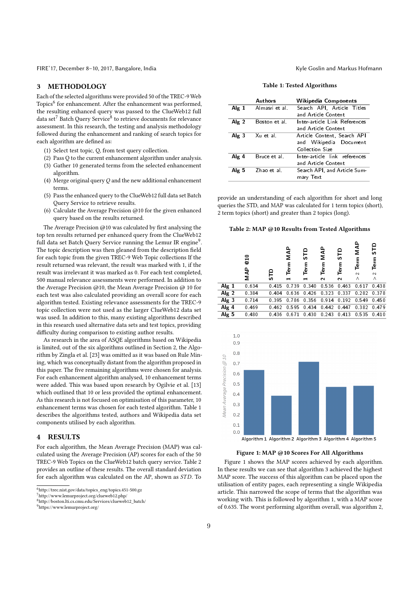## 3 METHODOLOGY

Each of the selected algorithms were provided 50 of the TREC-9 Web Topics<sup>6</sup> for enhancement. After the enhancement was performed, the resulting enhanced query was passed to the ClueWeb12 full data set<sup>7</sup> Batch Query Service<sup>8</sup> to retrieve documents for relevance assessment. In this research, the testing and analysis methodology followed during the enhancement and ranking of search topics for each algorithm are defined as:

- (1) Select test topic, Q, from test query collection.
- (2) Pass Q to the current enhancement algorithm under analysis. (3) Gather 10 generated terms from the selected enhancement
- algorithm. (4) Merge original query  $Q$  and the new additional enhancement
- terms. (5) Pass the enhanced query to the ClueWeb12 full data set Batch
- Query Service to retrieve results.
- (6) Calculate the Average Precision @10 for the given enhanced query based on the results returned.

The Average Precision @10 was calculated by first analysing the top ten results returned per enhanced query from the ClueWeb12 full data set Batch Query Service running the Lemur IR engine<sup>9</sup>. The topic description was then gleaned from the description field for each topic from the given TREC-9 Web Topic collections If the result returned was relevant, the result was marked with 1, if the result was irrelevant it was marked as 0. For each test completed, 500 manual relevance assessments were performed. In addition to the Average Precision @10, the Mean Average Precision @ 10 for each test was also calculated providing an overall score for each algorithm tested. Existing relevance assessments for the TREC-9 topic collection were not used as the larger ClueWeb12 data set was used. In addition to this, many existing algorithms described in this research used alternative data sets and test topics, providing difficulty during comparison to existing author results.

As research in the area of ASQE algorithms based on Wikipedia is limited, out of the six algorithms outlined in Section 2, the Algorithm by Zingla et al. [23] was omitted as it was based on Rule Mining, which was conceptually distant from the algorithm proposed in this paper. The five remaining algorithms were chosen for analysis. For each enhancement algorithm analysed, 10 enhancement terms were added. This was based upon research by Ogilvie et al. [13] which outlined that 10 or less provided the optimal enhancement. As this research is not focused on optimisation of this parameter, 10 enhancement terms was chosen for each tested algorithm. Table 1 describes the algorithms tested, authors and Wikipedia data set components utilised by each algorithm.

## 4 RESULTS

For each algorithm, the Mean Average Precision (MAP) was calculated using the Average Precision (AP) scores for each of the 50 TREC-9 Web Topics on the ClueWeb12 batch query service. Table 2 provides an outline of these results. The overall standard deviation for each algorithm was calculated on the AP, shown as STD. To

#### Table 1: Tested Algorithms

|       | Authors        | Wikipedia Components          |  |  |  |  |
|-------|----------------|-------------------------------|--|--|--|--|
| Alg 1 | Almasri et al. | Search API, Article Titles    |  |  |  |  |
|       |                | and Article Content           |  |  |  |  |
| Alg 2 | Boston et al.  | Inter article Link References |  |  |  |  |
|       |                | and Article Content           |  |  |  |  |
| Alg 3 | Xu et al.      | Article Content, Search API   |  |  |  |  |
|       |                | and Wikipedia Document        |  |  |  |  |
|       |                | Collection Size               |  |  |  |  |
| Alg 4 | Bruce et al.   | Inter-article link references |  |  |  |  |
|       |                | and Article Content           |  |  |  |  |
| Alg 5 | Zhao et al.    | Search API, and Article Sum-  |  |  |  |  |
|       |                | mary Text                     |  |  |  |  |

provide an understanding of each algorithm for short and long queries the STD, and MAP was calculated for 1 term topics (short), 2 term topics (short) and greater than 2 topics (long).

## Table 2: MAP @10 Results from Tested Algorithms

|                  | $\frac{10}{2}$<br>MAP | 5     | AAP<br>Term | 5<br>ξ<br>ق | <b>AAP</b><br>ξ<br>힡<br>$\sim$ | <b>GTS</b><br>ξ<br>흽<br>$\sim$ | MAP<br>Term<br>$\sim$<br>Λ | 5<br>Term<br>2<br>Λ |
|------------------|-----------------------|-------|-------------|-------------|--------------------------------|--------------------------------|----------------------------|---------------------|
| Alg <sub>1</sub> | 0.634                 | 0.415 | 0.739       | 0.340       | 0.536                          | 0.463                          | 0.617                      | 0.438               |
| Alg <sub>2</sub> | 0.384                 | 0.404 | 0.636       | 0.426       | 0.323                          | 0.337                          | 0.282                      | 0.378               |
| $Alg_3$          | 0.714                 | 0.395 | 0786        | 0 3 5 6     | 0.914                          | 0.192                          | 0.549                      | 0.450               |
| Alg 4            | 0.469                 | 0.462 | 0.595       | 0.434       | 0.442                          | 0.447                          | 0.382                      | 0.479               |
| Alg 5            | 0.480                 | 0.436 | 0.671       | 0.430       | 0.243                          | 0.413                          | 0.535                      | 0.410               |



#### Figure 1: MAP @10 Scores For All Algorithms

Figure 1 shows the MAP scores achieved by each algorithm. In these results we can see that algorithm 3 achieved the highest MAP score. The success of this algorithm can be placed upon the utilisation of entity pages, each representing a single Wikipedia article. This narrowed the scope of terms that the algorithm was working with. This is followed by algorithm 1, with a MAP score of 0.635. The worst performing algorithm overall, was algorithm 2,

<sup>6</sup>http://trec.nist.gov/data/topics\_eng/topics.451-500.gz

<sup>7</sup>http://www.lemurproject.org/clueweb12.php/

<sup>8</sup>http://boston.lti.cs.cmu.edu/Services/clueweb12\_batch/

<sup>9</sup>https://www.lemurproject.org/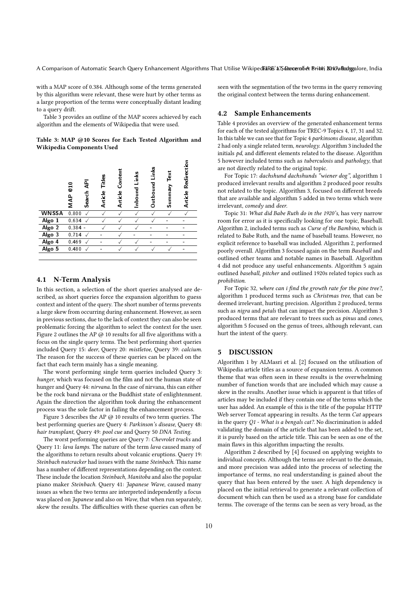A Comparison of Automatic Search Query Enhancement Algorithms That Utilise Wikipedlia Ras a Ta Davernber Bridoj Knowledgealore, India

with a MAP score of 0.384. Although some of the terms generated by this algorithm were relevant, these were hurt by other terms as a large proportion of the terms were conceptually distant leading to a query drift.

Table 3 provides an outline of the MAP scores achieved by each algorithm and the elements of Wikipedia that were used.

Table 3: MAP @10 Scores for Each Tested Algorithm and Wikipedia Components Used



## 4.1 N-Term Analysis

In this section, a selection of the short queries analysed are described, as short queries force the expansion algorithm to guess context and intent of the query. The short number of terms prevents a large skew from occurring during enhancement. However, as seen in previous sections, due to the lack of context they can also be seen problematic forcing the algorithm to select the context for the user. Figure 2 outlines the AP  $@$  10 results for all five algorithms with a focus on the single query terms. The best performing short queries included Query 15: deer, Query 20: mistletoe, Query 39: calcium. The reason for the success of these queries can be placed on the fact that each term mainly has a single meaning.

The worst performing single term queries included Query 3: hunger, which was focused on the film and not the human state of hunger and Query 44: nirvana. In the case of nirvana, this can either be the rock band nirvana or the Buddhist state of enlightenment. Again the direction the algorithm took during the enhancement process was the sole factor in failing the enhancement process.

Figure 3 describes the AP @ 10 results of two term queries. The best performing queries are Query 4: Parkinson's disease, Query 48: hair transplant, Query 49: pool cue and Query 50 DNA Testing.

The worst performing queries are Query 7: Chevrolet trucks and Query 11: lava lamps. The nature of the term lava caused many of the algorithms to return results about volcanic eruptions. Query 19: Steinbach nutcracker had issues with the name Steinbach. This name has a number of different representations depending on the context. These include the location Steinbach, Manitoba and also the popular piano maker Steinbach. Query 41: Japanese Wave, caused many issues as when the two terms are interpreted independently a focus was placed on Japanese and also on Wave, that when run separately, skew the results. The difficulties with these queries can often be

seen with the segmentation of the two terms in the query removing the original context between the terms during enhancement.

#### 4.2 Sample Enhancements

Table 4 provides an overview of the generated enhancement terms for each of the tested algorithms for TREC-9 Topics 4, 17, 31 and 32. In this table we can see that for Topic 4 parkinsons disease, algorithm 2 had only a single related term, neurology. Algorithm 3 included the initials  $pd$ , and different elements related to the disease. Algorithm 5 however included terms such as tuberculosis and pathology, that are not directly related to the original topic.

For Topic 17: dachshund dachshunds "wiener dog", algorithm 1 produced irrelevant results and algorithm 2 produced poor results not related to the topic. Algorithm 3, focused on different breeds that are available and algorithm 5 added in two terms which were irrelevant, comedy and deer.

Topic 31: What did Babe Ruth do in the 1920's, has very narrow room for error as it is specifically looking for one topic, Baseball. Algorithm 2, included terms such as Curse of the Bambino, which is related to Babe Ruth, and the name of baseball teams. However, no explicit reference to baseball was included. Algorithm 2, performed poorly overall. Algorithm 3 focused again on the term Baseball and outlined other teams and notable names in Baseball. Algorithm 4 did not produce any useful enhancements. Algorithm 5 again outlined baseball, pitcher and outlined 1920s related topics such as prohibition.

For Topic 32, where can i find the growth rate for the pine tree?, algorithm 1 produced terms such as Christmas tree, that can be deemed irrelevant, hurting precision. Algorithm 2 produced, terms such as nigra and petals that can impact the precision. Algorithm 3 produced terms that are relevant to trees such as pinus and cones, algorithm 5 focused on the genus of trees, although relevant, can hurt the intent of the query.

#### 5 DISCUSSION

Algorithm 1 by ALMasri et al. [2] focused on the utilisation of Wikipedia article titles as a source of expansion terms. A common theme that was often seen in these results is the overwhelming number of function words that are included which may cause a skew in the results. Another issue which is apparent is that titles of articles may be included if they contain one of the terms which the user has added. An example of this is the title of the popular HTTP Web server Tomcat appearing in results. As the term *Cat* appears in the query Q1 - What is a bengals cat?. No discrimination is added validating the domain of the article that has been added to the set, it is purely based on the article title. This can be seen as one of the main flaws in this algorithm impacting the results.

Algorithm 2 described by [4] focused on applying weights to individual concepts. Although the terms are relevant to the domain, and more precision was added into the process of selecting the importance of terms, no real understanding is gained about the query that has been entered by the user. A high dependency is placed on the initial retrieval to generate a relevant collection of document which can then be used as a strong base for candidate terms. The coverage of the terms can be seen as very broad, as the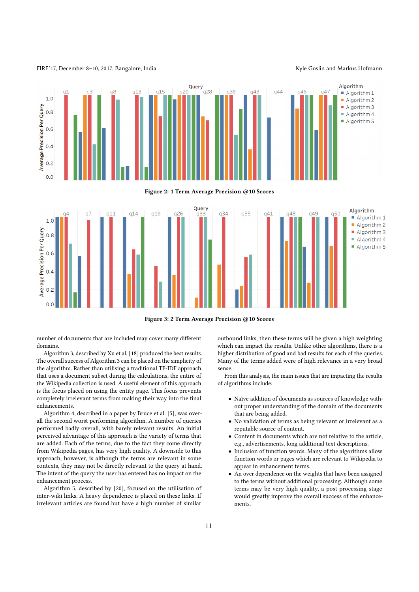

#### Figure 2: 1 Term Average Precision @10 Scores



Figure 3: 2 Term Average Precision @10 Scores

number of documents that are included may cover many different domains.

Algorithm 3, described by Xu et al. [18] produced the best results. The overall success of Algorithm 3 can be placed on the simplicity of the algorithm. Rather than utilising a traditional TF-IDF approach that uses a document subset during the calculations, the entire of the Wikipedia collection is used. A useful element of this approach is the focus placed on using the entity page. This focus prevents completely irrelevant terms from making their way into the final enhancements.

Algorithm 4, described in a paper by Bruce et al. [5], was overall the second worst performing algorithm. A number of queries performed badly overall, with barely relevant results. An initial perceived advantage of this approach is the variety of terms that are added. Each of the terms, due to the fact they come directly from Wikipedia pages, has very high quality. A downside to this approach, however, is although the terms are relevant in some contexts, they may not be directly relevant to the query at hand. The intent of the query the user has entered has no impact on the enhancement process.

Algorithm 5, described by [20], focused on the utilisation of inter-wiki links. A heavy dependence is placed on these links. If irrelevant articles are found but have a high number of similar

outbound links, then these terms will be given a high weighting which can impact the results. Unlike other algorithms, there is a higher distribution of good and bad results for each of the queries. Many of the terms added were of high relevance in a very broad sense.

From this analysis, the main issues that are impacting the results of algorithms include:

- Naïve addition of documents as sources of knowledge without proper understanding of the domain of the documents that are being added.
- No validation of terms as being relevant or irrelevant as a reputable source of content.
- Content in documents which are not relative to the article, e.g., advertisements, long additional text descriptions.
- Inclusion of function words: Many of the algorithms allow function words or pages which are relevant to Wikipedia to appear in enhancement terms.
- An over dependence on the weights that have been assigned to the terms without additional processing. Although some terms may be very high quality, a post processing stage would greatly improve the overall success of the enhancements.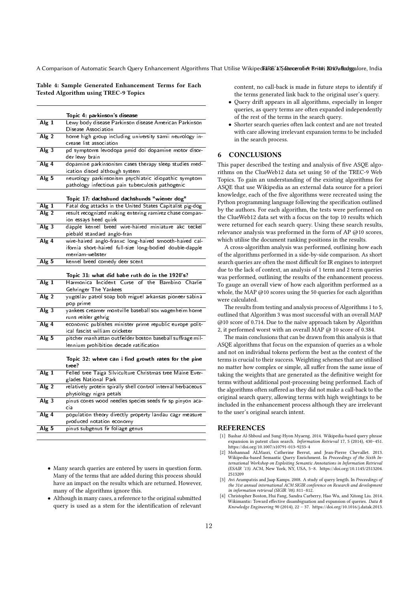A Comparison of Automatic Search Query Enhancement Algorithms That Utilise Wikipedlia Ras a Ta Davernber Bridoj Knowledgealore, India

#### Table 4: Sample Generated Enhancement Terms for Each Tested Algorithm using TREC-9 Topics

|                    | Topic 4: parkinson's disease                                  |
|--------------------|---------------------------------------------------------------|
| $Alg$ 1            | Lewy body disease Parkinson disease American Parkinson        |
|                    | Disease Association                                           |
| $\overline{Alg}$ 2 | home high group including university samii neurology in-      |
|                    | crease list association                                       |
| $Alg$ 3            | pd symptoms levodopa pmid doi dopamine motor disor-           |
|                    | der lewy brain                                                |
| $Alg$ 4            | dopamine parkinsonism cases therapy sleep studies med-        |
|                    | ication disord although system                                |
| $Alg$ 5            | neurology parkinsonism psychiatric idiopathic symptom         |
|                    | pathology infectious pain tuberculosis pathogenic             |
|                    |                                                               |
|                    | Topic 17: dachshund dachshunds "wiener dog"                   |
| $\overline{Alg}$ 1 | Fatal dog attacks in the United States Capitalist pig-dog     |
| $\overline{Alg}$ 2 | result recognized making entering ramirez chase compan-       |
|                    | ion essays heed quirk                                         |
| $Alg$ 3            | dapple kennel breed wire-haired miniature akc teckel          |
|                    | piebald standard anglo-fran                                   |
| $Alg$ 4            | wire-haired anglo-franxc long-haired smooth-haired cal-       |
|                    | ifornia short-haired full-size long-bodied double-dapple      |
|                    | merriam-webster                                               |
| $Alg$ 5            | kennel breed comedy deer scent                                |
|                    | Topic 31: what did babe ruth do in the 1920's?                |
| $Alg$ 1            | Harmonica Incident Curse of the Bambino Charlie               |
|                    | Gehringer The Yankees                                         |
| $\overline{Alg}$ 2 | yugoslav patrol soap bob miguel arkansas pioneer sabina       |
|                    | pop prime                                                     |
| $Alg$ 3            | yankees creamer montville baseball sox wagenheim home         |
|                    | runs reisler gehrig                                           |
| $Alg$ 4            | economic publishes minister prime republic europe polit-      |
|                    | ical fascist william cricketer                                |
| $Alg$ 5            | pitcher manhattan outfielder boston baseball suffrage mil-    |
|                    | lennium prohibition decade ratification                       |
|                    |                                                               |
|                    | Topic 32: where can i find growth rates for the pine          |
|                    | tree?                                                         |
| $Alg$ 1            | Felled tree Taiga Silviculture Christmas tree Maine Ever-     |
|                    | glades National Park                                          |
| Alg <sub>2</sub>   | relatively protein spirally shell control internal herbaceous |
|                    | physiology nigra petals                                       |
| $Alg$ 3            | pinus cones wood needles species seeds fir sp pinyon aca-     |
|                    | cia                                                           |
| $Alg$ <sup>4</sup> | population theory directly property landau cagr measure       |
|                    | produced notation economy                                     |
| Alg 5              | pinus subgenus fir foliage genus                              |
|                    |                                                               |

- Many search queries are entered by users in question form. Many of the terms that are added during this process should have an impact on the results which are returned. However, many of the algorithms ignore this.
- Although in many cases, a reference to the original submitted query is used as a stem for the identification of relevant

content, no call-back is made in future steps to identify if the terms generated link back to the original user's query.

- Query drift appears in all algorithms, especially in longer queries, as query terms are often expanded independently of the rest of the terms in the search query.
- Shorter search queries often lack context and are not treated with care allowing irrelevant expansion terms to be included in the search process.

## 6 CONCLUSIONS

This paper described the testing and analysis of five ASQE algorithms on the ClueWeb12 data set using 50 of the TREC-9 Web Topics. To gain an understanding of the existing algorithms for ASQE that use Wikipedia as an external data source for a priori knowledge, each of the five algorithms were recreated using the Python programming language following the specification outlined by the authors. For each algorithm, the tests were performed on the ClueWeb12 data set with a focus on the top 10 results which were returned for each search query. Using these search results, relevance analysis was preformed in the form of AP @10 scores, which utilise the document ranking positions in the results.

A cross-algorithm analysis was performed, outlining how each of the algorithms performed in a side-by-side comparison. As short search queries are often the most difficult for IR engines to interpret due to the lack of context, an analysis of 1 term and 2 term queries was performed, outlining the results of the enhancement process. To gauge an overall view of how each algorithm performed as a whole, the MAP  $@10$  scores using the 50 queries for each algorithm were calculated.

The results from testing and analysis process of Algorithms 1 to 5, outlined that Algorithm 3 was most successful with an overall MAP @10 score of 0.714. Due to the naïve approach taken by Algorithm 2, it performed worst with an overall MAP @ 10 score of 0.384.

The main conclusions that can be drawn from this analysis is that ASQE algorithms that focus on the expansion of queries as a whole and not on individual tokens perform the best as the context of the terms is crucial to their success. Weighting schemes that are utilised no matter how complex or simple, all suffer from the same issue of taking the weights that are generated as the definitive weight for terms without additional post-processing being performed. Each of the algorithms often suffered as they did not make a call-back to the original search query, allowing terms with high weightings to be included in the enhancement process although they are irrelevant to the user's original search intent.

## **REFERENCES**

- [1] Bashar Al-Shboul and Sung-Hyon Myaeng. 2014. Wikipedia-based query phrase expansion in patent class search. Information Retrieval 17, 5 (2014), 430-451. https://doi.org/10.1007/s10791-013-9233-4
- [2] Mohannad ALMasri, Catherine Berrut, and Jean-Pierre Chevallet. 2013. Wikipedia-based Semantic Query Enrichment. In Proceedings of the Sixth International Workshop on Exploiting Semantic Annotations in Information Retrieval (ESAIR '13). ACM, New York, NY, USA, 5–8. https://doi.org/10.1145/2513204. 2513209
- [3] Avi Arampatzis and Jaap Kamps. 2008. A study of query length. In Proceedings of the 31st annual international ACM SIGIR conference on Research and development in information retrieval (SIGIR '08). 811–812.
- [4] Christopher Boston, Hui Fang, Sandra Carberry, Hao Wu, and Xitong Liu. 2014. Wikimantic: Toward effective disambiguation and expansion of queries. Data & Knowledge Engineering 90 (2014), 22 – 37. https://doi.org/10.1016/j.datak.2013.